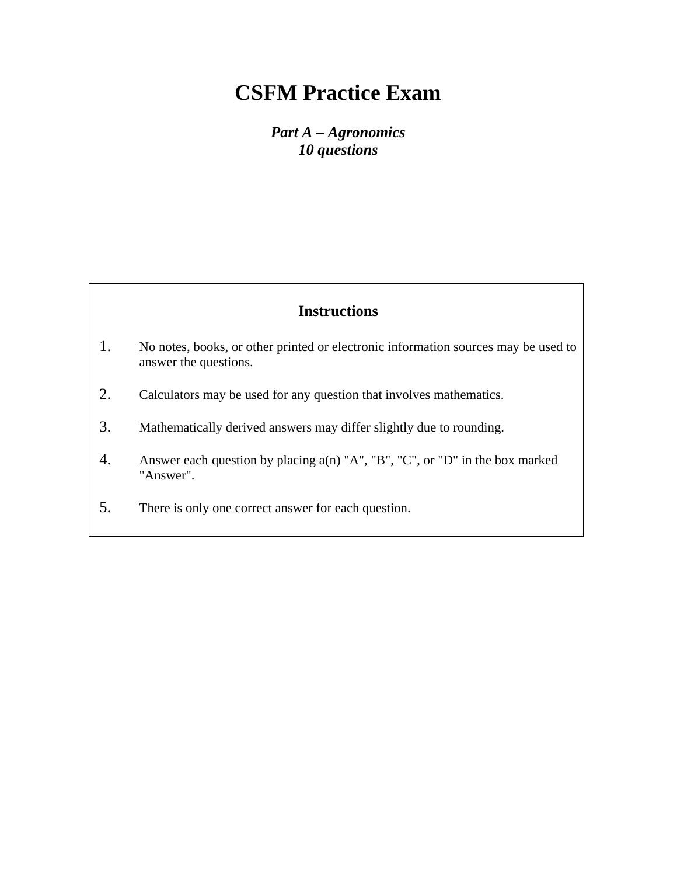*Part A – Agronomics 10 questions* 

- 1. No notes, books, or other printed or electronic information sources may be used to answer the questions.
- 2. Calculators may be used for any question that involves mathematics.
- 3. Mathematically derived answers may differ slightly due to rounding.
- 4. Answer each question by placing a(n) "A", "B", "C", or "D" in the box marked "Answer".
- 5. There is only one correct answer for each question.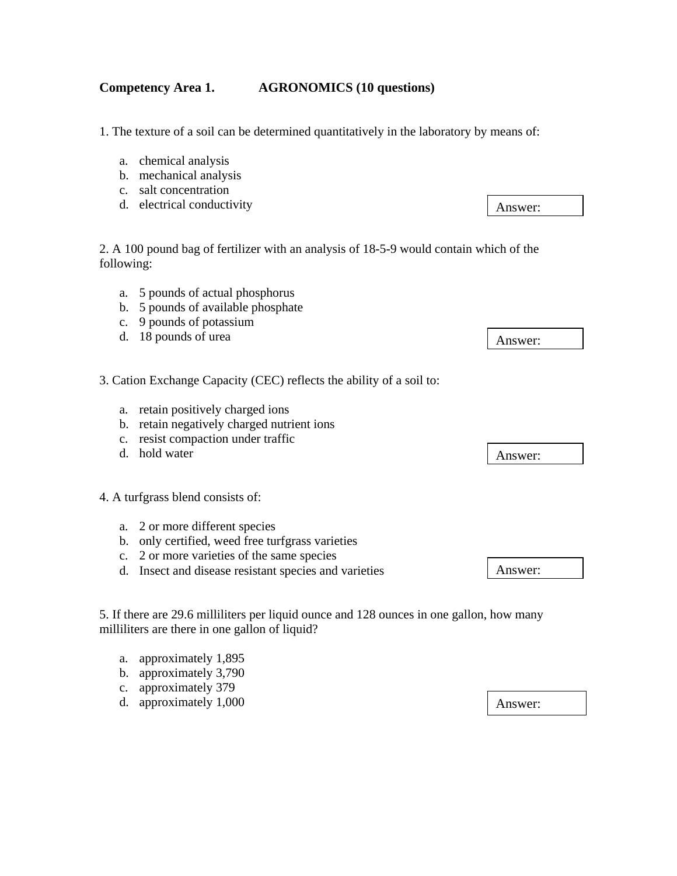#### **Competency Area 1. AGRONOMICS (10 questions)**

1. The texture of a soil can be determined quantitatively in the laboratory by means of:

- a. chemical analysis
- b. mechanical analysis
- c. salt concentration
- d. electrical conductivity

2. A 100 pound bag of fertilizer with an analysis of 18-5-9 would contain which of the following:

- a. 5 pounds of actual phosphorus
- b. 5 pounds of available phosphate
- c. 9 pounds of potassium
- d. 18 pounds of urea
- 3. Cation Exchange Capacity (CEC) reflects the ability of a soil to:
	- a. retain positively charged ions
	- b. retain negatively charged nutrient ions
	- c. resist compaction under traffic
	- d. hold water

4. A turfgrass blend consists of:

- a. 2 or more different species
- b. only certified, weed free turfgrass varieties
- c. 2 or more varieties of the same species
- d. Insect and disease resistant species and varieties

5. If there are 29.6 milliliters per liquid ounce and 128 ounces in one gallon, how many milliliters are there in one gallon of liquid?

- a. approximately 1,895
- b. approximately 3,790
- c. approximately 379
- d. approximately 1,000

Answer:

Answer:

Answer:

Answer: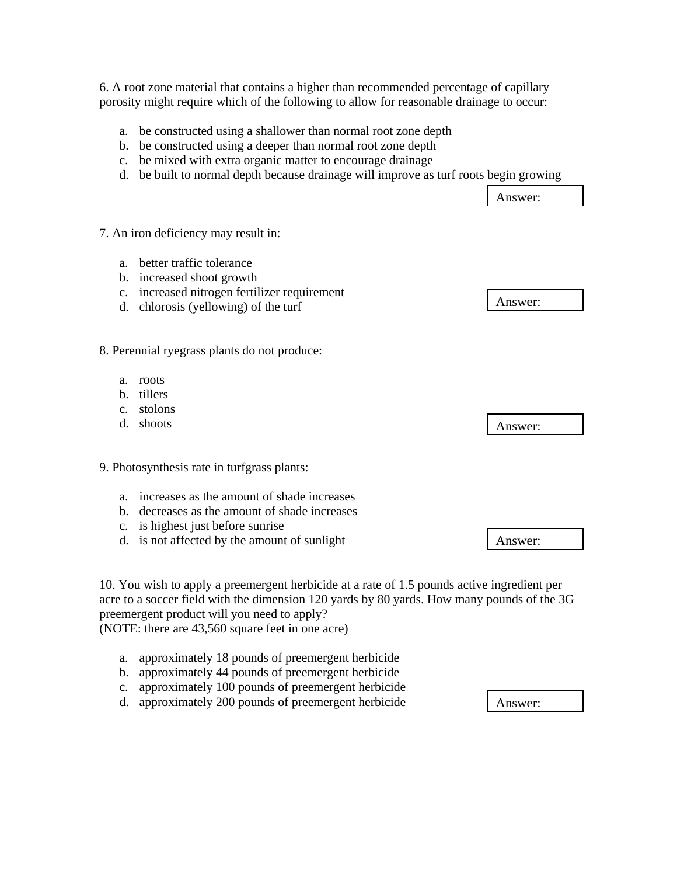6. A root zone material that contains a higher than recommended percentage of capillary porosity might require which of the following to allow for reasonable drainage to occur:

- a. be constructed using a shallower than normal root zone depth
- b. be constructed using a deeper than normal root zone depth
- c. be mixed with extra organic matter to encourage drainage
- d. be built to normal depth because drainage will improve as turf roots begin growing

7. An iron deficiency may result in: a. better traffic tolerance b. increased shoot growth c. increased nitrogen fertilizer requirement d. chlorosis (yellowing) of the turf 8. Perennial ryegrass plants do not produce: a. roots b. tillers c. stolons d. shoots 9. Photosynthesis rate in turfgrass plants: a. increases as the amount of shade increases b. decreases as the amount of shade increases c. is highest just before sunrise d. is not affected by the amount of sunlight 10. You wish to apply a preemergent herbicide at a rate of 1.5 pounds active ingredient per Answer: Answer: Answer: Answer:

acre to a soccer field with the dimension 120 yards by 80 yards. How many pounds of the 3G preemergent product will you need to apply?

(NOTE: there are 43,560 square feet in one acre)

- a. approximately 18 pounds of preemergent herbicide
- b. approximately 44 pounds of preemergent herbicide
- c. approximately 100 pounds of preemergent herbicide
- d. approximately 200 pounds of preemergent herbicide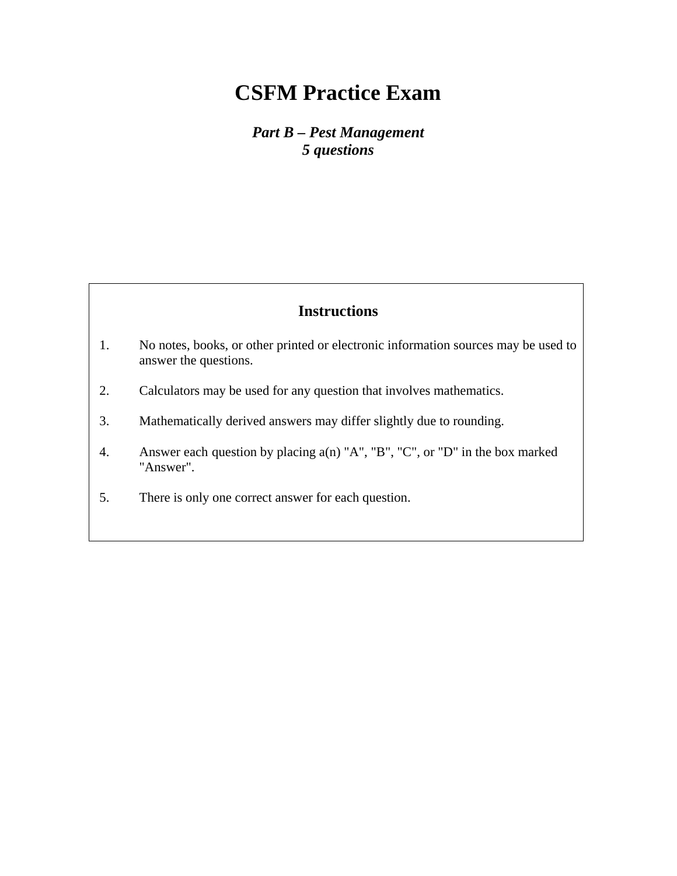*Part B – Pest Management 5 questions* 

- 1. No notes, books, or other printed or electronic information sources may be used to answer the questions.
- 2. Calculators may be used for any question that involves mathematics.
- 3. Mathematically derived answers may differ slightly due to rounding.
- 4. Answer each question by placing a(n) "A", "B", "C", or "D" in the box marked "Answer".
- 5. There is only one correct answer for each question.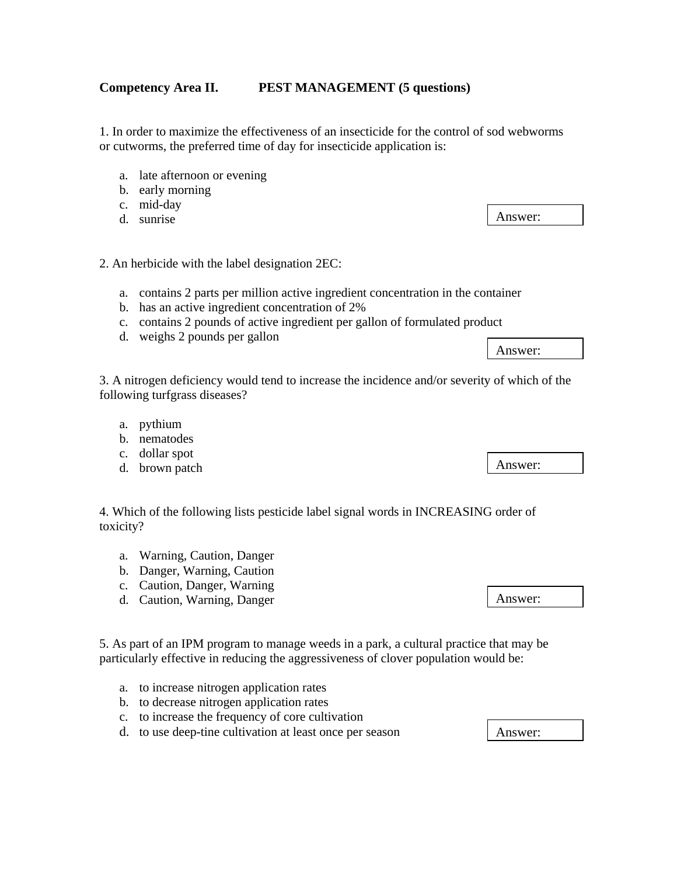#### **Competency Area II. PEST MANAGEMENT (5 questions)**

1. In order to maximize the effectiveness of an insecticide for the control of sod webworms or cutworms, the preferred time of day for insecticide application is:

- a. late afternoon or evening
- b. early morning
- c. mid-day
- d. sunrise

#### 2. An herbicide with the label designation 2EC:

- a. contains 2 parts per million active ingredient concentration in the container
- b. has an active ingredient concentration of 2%
- c. contains 2 pounds of active ingredient per gallon of formulated product
- d. weighs 2 pounds per gallon

3. A nitrogen deficiency would tend to increase the incidence and/or severity of which of the following turfgrass diseases?

- a. pythium
- b. nematodes
- c. dollar spot
- d. brown patch

4. Which of the following lists pesticide label signal words in INCREASING order of toxicity?

- a. Warning, Caution, Danger
- b. Danger, Warning, Caution
- c. Caution, Danger, Warning
- d. Caution, Warning, Danger

5. As part of an IPM program to manage weeds in a park, a cultural practice that may be particularly effective in reducing the aggressiveness of clover population would be:

- a. to increase nitrogen application rates
- b. to decrease nitrogen application rates
- c. to increase the frequency of core cultivation
- d. to use deep-tine cultivation at least once per season

Answer:

Answer:

Answer:

Answer: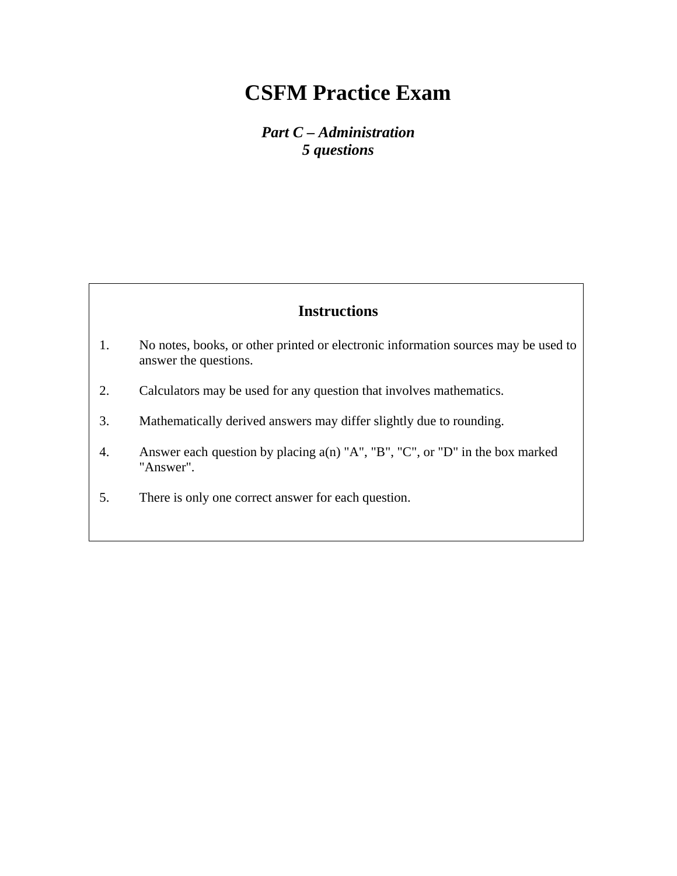*Part C – Administration 5 questions* 

- 1. No notes, books, or other printed or electronic information sources may be used to answer the questions.
- 2. Calculators may be used for any question that involves mathematics.
- 3. Mathematically derived answers may differ slightly due to rounding.
- 4. Answer each question by placing a(n) "A", "B", "C", or "D" in the box marked "Answer".
- 5. There is only one correct answer for each question.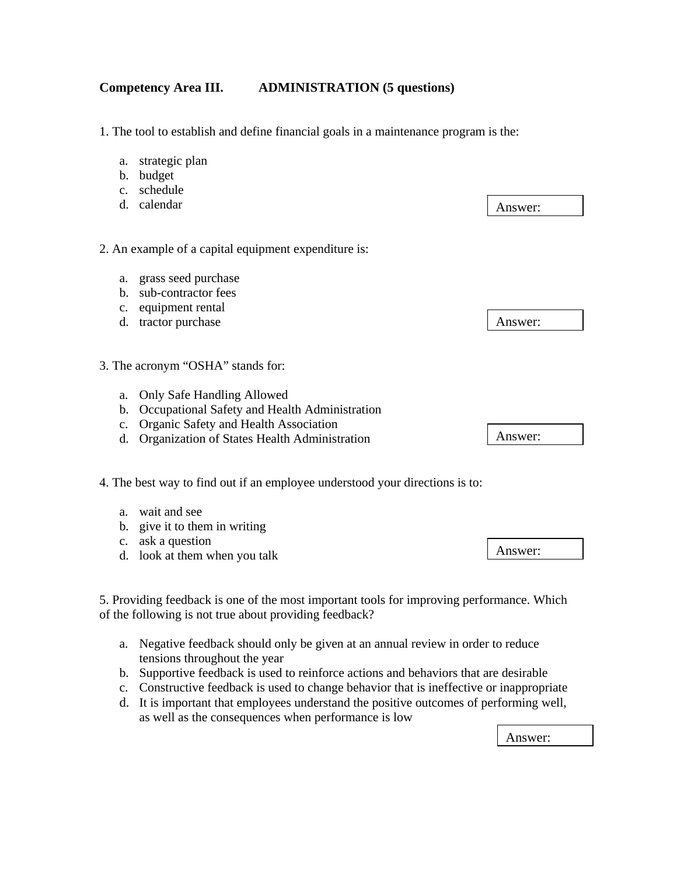#### **Competency Area III. ADMINISTRATION (5 questions)**

1. The tool to establish and define financial goals in a maintenance program is the:

- a. strategic plan
- b. budget
- c. schedule
- d. calendar

2. An example of a capital equipment expenditure is:

- a. grass seed purchase
- b. sub-contractor fees
- c. equipment rental
- d. tractor purchase
- 3. The acronym "OSHA" stands for:
	- a. Only Safe Handling Allowed
	- b. Occupational Safety and Health Administration
	- c. Organic Safety and Health Association
	- d. Organization of States Health Administration
- 4. The best way to find out if an employee understood your directions is to:
	- a. wait and see
	- b. give it to them in writing
	- c. ask a question
	- d. look at them when you talk

5. Providing feedback is one of the most important tools for improving performance. Which of the following is not true about providing feedback?

- a. Negative feedback should only be given at an annual review in order to reduce tensions throughout the year
- b. Supportive feedback is used to reinforce actions and behaviors that are desirable
- c. Constructive feedback is used to change behavior that is ineffective or inappropriate
- d. It is important that employees understand the positive outcomes of performing well, as well as the consequences when performance is low

Answer:

Answer:

Answer:

Answer: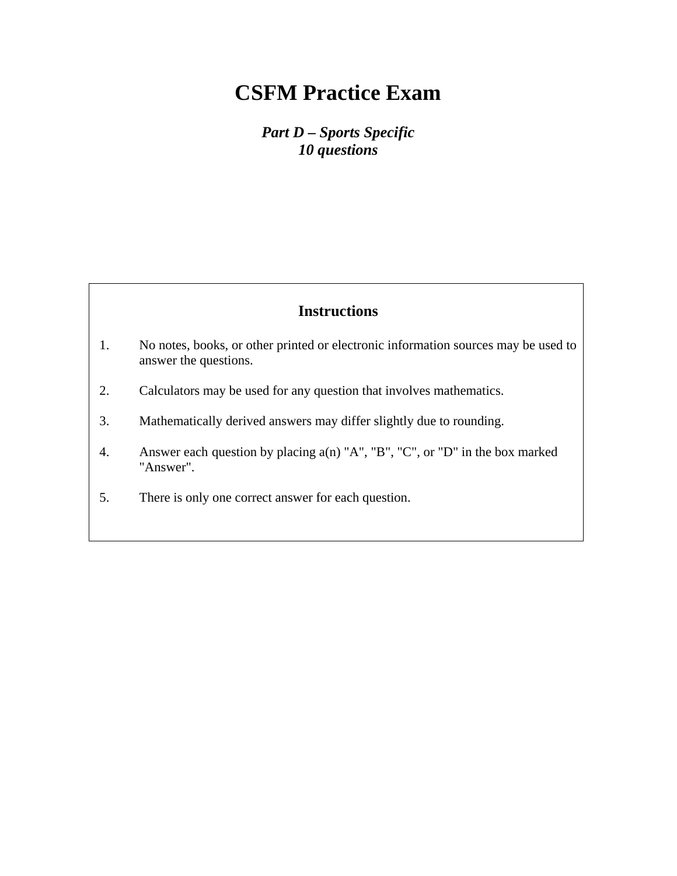*Part D – Sports Specific 10 questions* 

- 1. No notes, books, or other printed or electronic information sources may be used to answer the questions.
- 2. Calculators may be used for any question that involves mathematics.
- 3. Mathematically derived answers may differ slightly due to rounding.
- 4. Answer each question by placing a(n) "A", "B", "C", or "D" in the box marked "Answer".
- 5. There is only one correct answer for each question.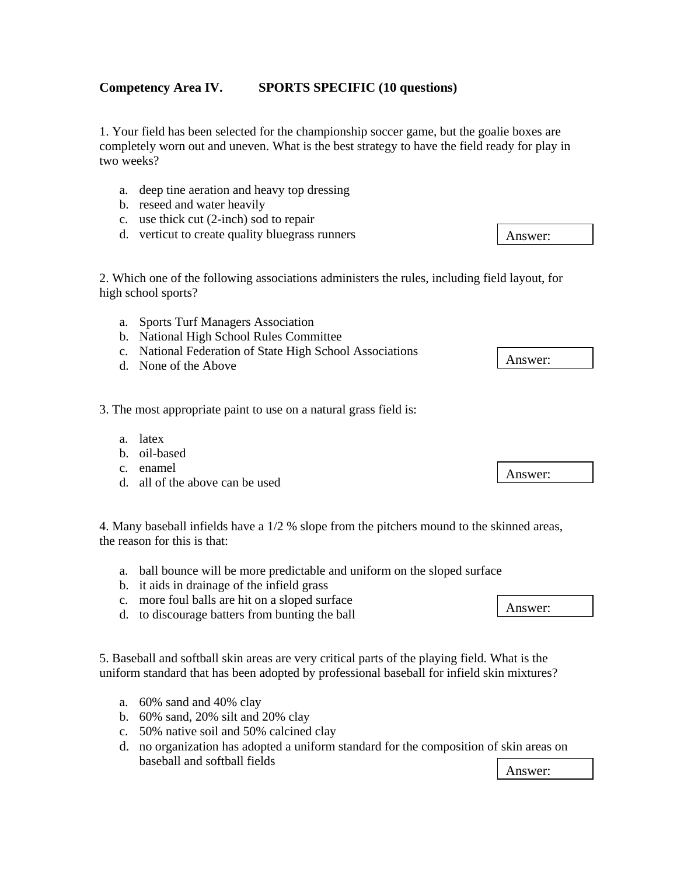### **Competency Area IV. SPORTS SPECIFIC (10 questions)**

1. Your field has been selected for the championship soccer game, but the goalie boxes are completely worn out and uneven. What is the best strategy to have the field ready for play in two weeks?

- a. deep tine aeration and heavy top dressing
- b. reseed and water heavily
- c. use thick cut (2-inch) sod to repair
- d. verticut to create quality bluegrass runners

2. Which one of the following associations administers the rules, including field layout, for high school sports?

- a. Sports Turf Managers Association
- b. National High School Rules Committee
- c. National Federation of State High School Associations
- d. None of the Above

3. The most appropriate paint to use on a natural grass field is:

- a. latex
- b. oil-based
- c. enamel
- d. all of the above can be used

4. Many baseball infields have a 1/2 % slope from the pitchers mound to the skinned areas, the reason for this is that:

- a. ball bounce will be more predictable and uniform on the sloped surface
- b. it aids in drainage of the infield grass
- c. more foul balls are hit on a sloped surface
- d. to discourage batters from bunting the ball

5. Baseball and softball skin areas are very critical parts of the playing field. What is the uniform standard that has been adopted by professional baseball for infield skin mixtures?

- a. 60% sand and 40% clay
- b. 60% sand, 20% silt and 20% clay
- c. 50% native soil and 50% calcined clay
- d. no organization has adopted a uniform standard for the composition of skin areas on baseball and softball fields Answer:

Answer:

Answer:

Answer: